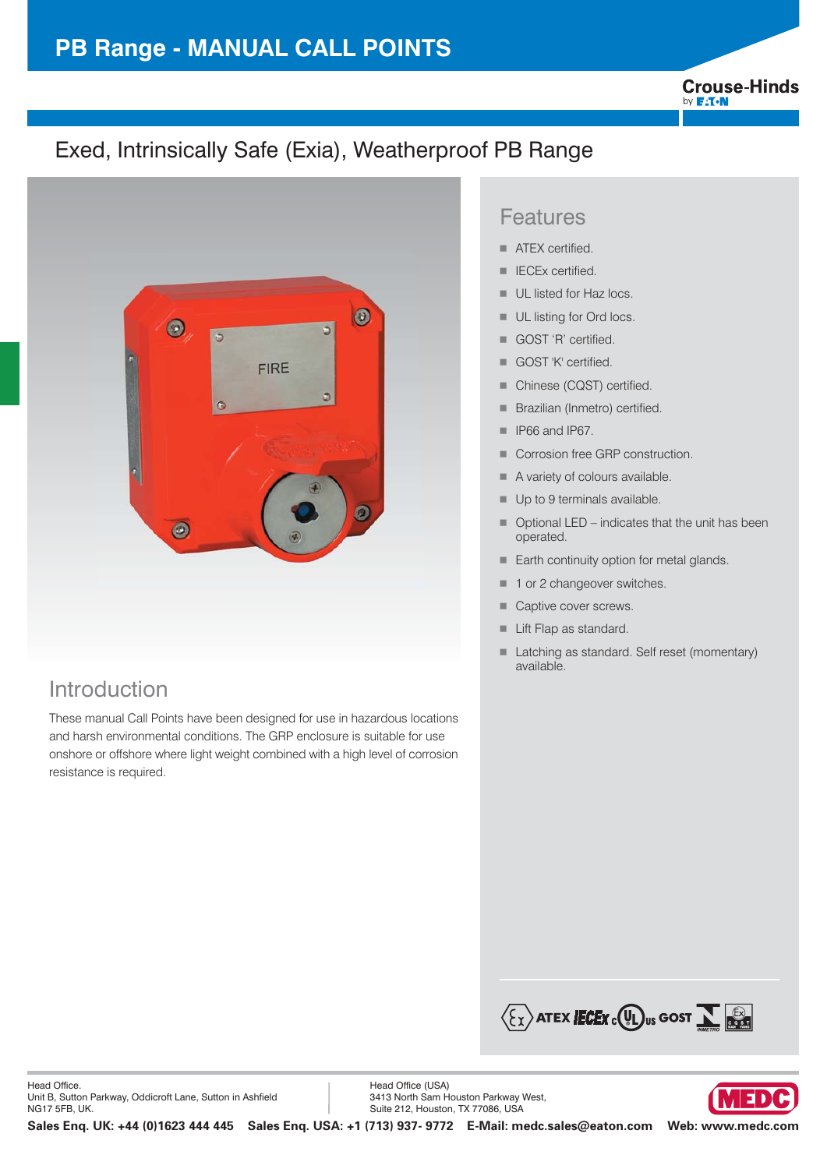# **PB Range - MANUAL CALL POINTS**

**Crouse-Hinds** by **F:T.N** 

# Exed, Intrinsically Safe (Exia), Weatherproof PB Range



## Introduction

These manual Call Points have been designed for use in hazardous locations and harsh environmental conditions. The GRP enclosure is suitable for use onshore or offshore where light weight combined with a high level of corrosion resistance is required.

### Features

- -ATEX certified.
- -IECEx certified.
- -UL listed for Haz locs.
- -UL listing for Ord locs.
- -GOST 'R' certified.
- -GOST 'K' certified.
- -Chinese (CQST) certified.
- -Brazilian (Inmetro) certified.
- -IP66 and IP67.
- -Corrosion free GRP construction.
- -A variety of colours available.
- -Up to 9 terminals available.
- - Optional LED – indicates that the unit has been operated.
- -Earth continuity option for metal glands.
- -1 or 2 changeover switches.
- -Captive cover screws.
- -Lift Flap as standard.
- - Latching as standard. Self reset (momentary) available.



Head Office (USA) 3413 North Sam Houston Parkway West, Suite 212, Houston, TX 77086, USA

**Sales Enq. UK: +44 (0)1623 444 445 Sales Enq. USA: +1 (713) 937- 9772 E-Mail: medc.sales@eaton.com Web: www.medc.com** 

∣ ⊒  $\mathbf{D}$